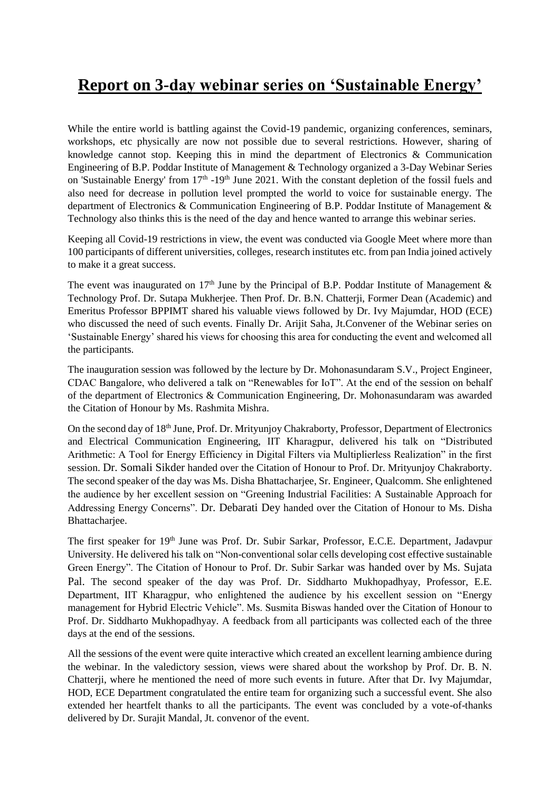## **Report on 3-day webinar series on 'Sustainable Energy'**

While the entire world is battling against the Covid-19 pandemic, organizing conferences, seminars, workshops, etc physically are now not possible due to several restrictions. However, sharing of knowledge cannot stop. Keeping this in mind the department of Electronics & Communication Engineering of B.P. Poddar Institute of Management & Technology organized a 3-Day Webinar Series on 'Sustainable Energy' from  $17<sup>th</sup>$  -19<sup>th</sup> June 2021. With the constant depletion of the fossil fuels and also need for decrease in pollution level prompted the world to voice for sustainable energy. The department of Electronics & Communication Engineering of B.P. Poddar Institute of Management & Technology also thinks this is the need of the day and hence wanted to arrange this webinar series.

Keeping all Covid-19 restrictions in view, the event was conducted via Google Meet where more than 100 participants of different universities, colleges, research institutes etc. from pan India joined actively to make it a great success.

The event was inaugurated on 17<sup>th</sup> June by the Principal of B.P. Poddar Institute of Management  $\&$ Technology Prof. Dr. Sutapa Mukherjee. Then Prof. Dr. B.N. Chatterji, Former Dean (Academic) and Emeritus Professor BPPIMT shared his valuable views followed by Dr. Ivy Majumdar, HOD (ECE) who discussed the need of such events. Finally Dr. Arijit Saha, Jt.Convener of the Webinar series on 'Sustainable Energy' shared his views for choosing this area for conducting the event and welcomed all the participants.

The inauguration session was followed by the lecture by Dr. Mohonasundaram S.V., Project Engineer, CDAC Bangalore, who delivered a talk on "Renewables for IoT". At the end of the session on behalf of the department of Electronics & Communication Engineering, Dr. Mohonasundaram was awarded the Citation of Honour by Ms. Rashmita Mishra.

On the second day of 18<sup>th</sup> June, Prof. Dr. Mrityunjoy Chakraborty, Professor, Department of Electronics and Electrical Communication Engineering, IIT Kharagpur, delivered his talk on "Distributed Arithmetic: A Tool for Energy Efficiency in Digital Filters via Multiplierless Realization" in the first session. Dr. Somali Sikder handed over the Citation of Honour to Prof. Dr. Mrityunjoy Chakraborty. The second speaker of the day was Ms. Disha Bhattacharjee, Sr. Engineer, Qualcomm. She enlightened the audience by her excellent session on "Greening Industrial Facilities: A Sustainable Approach for Addressing Energy Concerns". Dr. Debarati Dey handed over the Citation of Honour to Ms. Disha Bhattacharjee.

The first speaker for 19<sup>th</sup> June was Prof. Dr. Subir Sarkar, Professor, E.C.E. Department, Jadavpur University. He delivered his talk on "Non-conventional solar cells developing cost effective sustainable Green Energy". The Citation of Honour to Prof. Dr. Subir Sarkar was handed over by Ms. Sujata Pal. The second speaker of the day was Prof. Dr. Siddharto Mukhopadhyay, Professor, E.E. Department, IIT Kharagpur, who enlightened the audience by his excellent session on "Energy management for Hybrid Electric Vehicle". Ms. Susmita Biswas handed over the Citation of Honour to Prof. Dr. Siddharto Mukhopadhyay. A feedback from all participants was collected each of the three days at the end of the sessions.

All the sessions of the event were quite interactive which created an excellent learning ambience during the webinar. In the valedictory session, views were shared about the workshop by Prof. Dr. B. N. Chatterji, where he mentioned the need of more such events in future. After that Dr. Ivy Majumdar, HOD, ECE Department congratulated the entire team for organizing such a successful event. She also extended her heartfelt thanks to all the participants. The event was concluded by a vote-of-thanks delivered by Dr. Surajit Mandal, Jt. convenor of the event.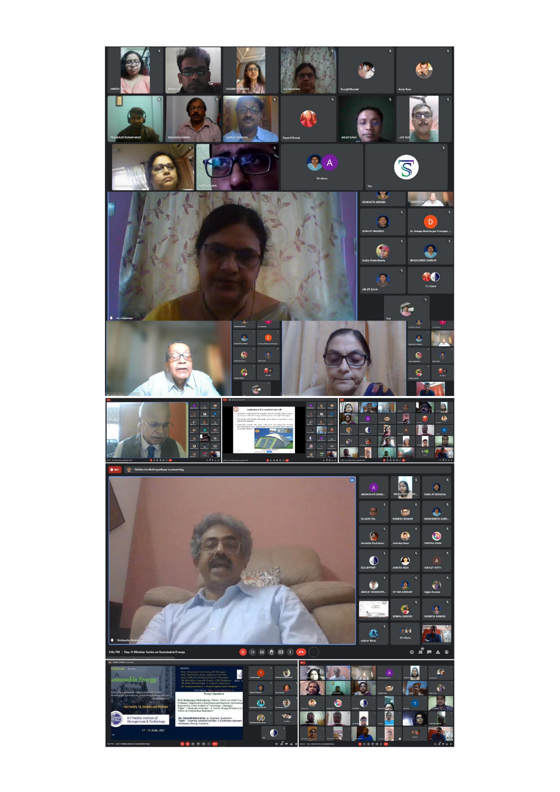